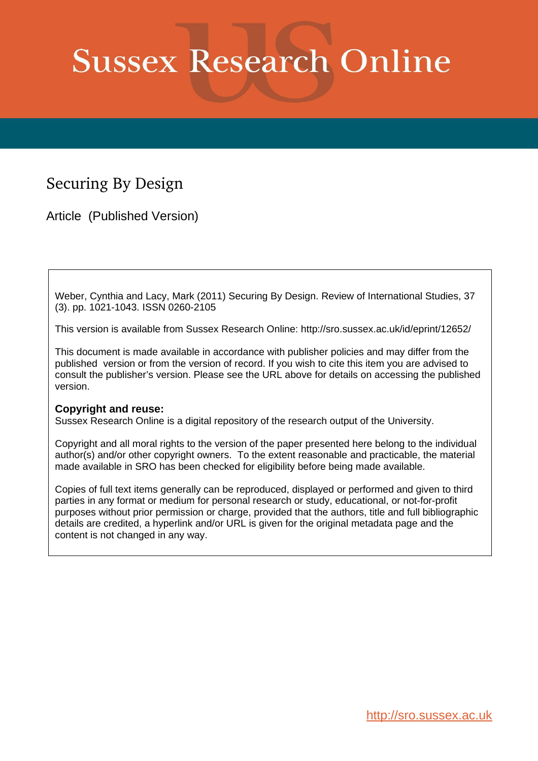# **Sussex Research Online**

# Securing By Design

Article (Published Version)

Weber, Cynthia and Lacy, Mark (2011) Securing By Design. Review of International Studies, 37 (3). pp. 1021-1043. ISSN 0260-2105

This version is available from Sussex Research Online: http://sro.sussex.ac.uk/id/eprint/12652/

This document is made available in accordance with publisher policies and may differ from the published version or from the version of record. If you wish to cite this item you are advised to consult the publisher's version. Please see the URL above for details on accessing the published version.

### **Copyright and reuse:**

Sussex Research Online is a digital repository of the research output of the University.

Copyright and all moral rights to the version of the paper presented here belong to the individual author(s) and/or other copyright owners. To the extent reasonable and practicable, the material made available in SRO has been checked for eligibility before being made available.

Copies of full text items generally can be reproduced, displayed or performed and given to third parties in any format or medium for personal research or study, educational, or not-for-profit purposes without prior permission or charge, provided that the authors, title and full bibliographic details are credited, a hyperlink and/or URL is given for the original metadata page and the content is not changed in any way.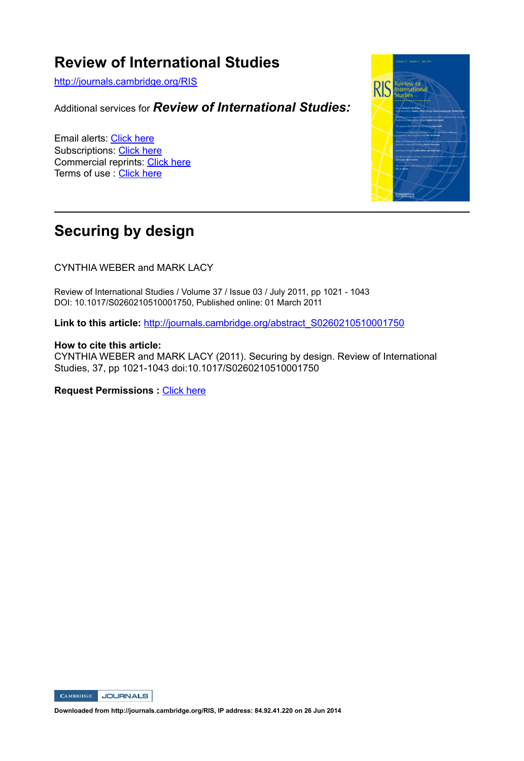### **Review of International Studies**

http://journals.cambridge.org/RIS

Additional services for *Review of International Studies:*

Email alerts: Click here Subscriptions: Click here Commercial reprints: Click here Terms of use : Click here



### **Securing by design**

CYNTHIA WEBER and MARK LACY

Review of International Studies / Volume 37 / Issue 03 / July 2011, pp 1021 - 1043 DOI: 10.1017/S0260210510001750, Published online: 01 March 2011

Link to this article: http://journals.cambridge.org/abstract\_S0260210510001750

#### **How to cite this article:**

CYNTHIA WEBER and MARK LACY (2011). Securing by design. Review of International Studies, 37, pp 1021-1043 doi:10.1017/S0260210510001750

**Request Permissions :** Click here

CAMBRIDGE JOURNALS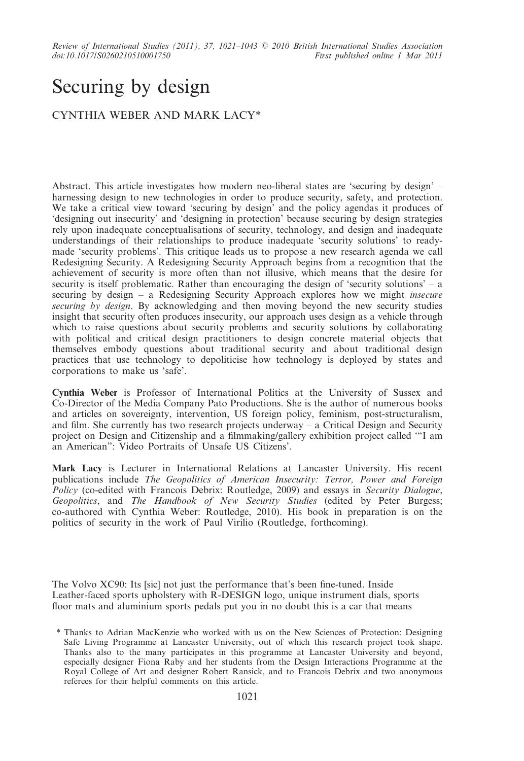*Review of International Studies (2011), 37, 1021–1043 2010 British International Studies Association First published online 1 Mar 2011* 

## Securing by design

### CYNTHIA WEBER AND MARK LACY\*

Abstract. This article investigates how modern neo-liberal states are 'securing by design' – harnessing design to new technologies in order to produce security, safety, and protection. We take a critical view toward 'securing by design' and the policy agendas it produces of 'designing out insecurity' and 'designing in protection' because securing by design strategies rely upon inadequate conceptualisations of security, technology, and design and inadequate understandings of their relationships to produce inadequate 'security solutions' to readymade 'security problems'. This critique leads us to propose a new research agenda we call Redesigning Security. A Redesigning Security Approach begins from a recognition that the achievement of security is more often than not illusive, which means that the desire for security is itself problematic. Rather than encouraging the design of 'security solutions' – a securing by design–aRedesigning Security Approach explores how we might *insecure securing by design*. By acknowledging and then moving beyond the new security studies insight that security often produces insecurity, our approach uses design as a vehicle through which to raise questions about security problems and security solutions by collaborating with political and critical design practitioners to design concrete material objects that themselves embody questions about traditional security and about traditional design practices that use technology to depoliticise how technology is deployed by states and corporations to make us 'safe'.

**Cynthia Weber** is Professor of International Politics at the University of Sussex and Co-Director of the Media Company Pato Productions. She is the author of numerous books and articles on sovereignty, intervention, US foreign policy, feminism, post-structuralism, and film. She currently has two research projects underway – a Critical Design and Security project on Design and Citizenship and a filmmaking/gallery exhibition project called '"I am an American": Video Portraits of Unsafe US Citizens'.

**Mark Lacy** is Lecturer in International Relations at Lancaster University. His recent publications include *The Geopolitics of American Insecurity: Terror, Power and Foreign Policy* (co-edited with Francois Debrix: Routledge, 2009) and essays in *Security Dialogue*, *Geopolitics*, and *The Handbook of New Security Studies* (edited by Peter Burgess; co-authored with Cynthia Weber: Routledge, 2010). His book in preparation is on the politics of security in the work of Paul Virilio (Routledge, forthcoming).

The Volvo XC90: Its [sic] not just the performance that's been fine-tuned. Inside Leather-faced sports upholstery with R-DESIGN logo, unique instrument dials, sports floor mats and aluminium sports pedals put you in no doubt this is a car that means

<sup>\*</sup> Thanks to Adrian MacKenzie who worked with us on the New Sciences of Protection: Designing Safe Living Programme at Lancaster University, out of which this research project took shape. Thanks also to the many participates in this programme at Lancaster University and beyond, especially designer Fiona Raby and her students from the Design Interactions Programme at the Royal College of Art and designer Robert Ransick, and to Francois Debrix and two anonymous referees for their helpful comments on this article.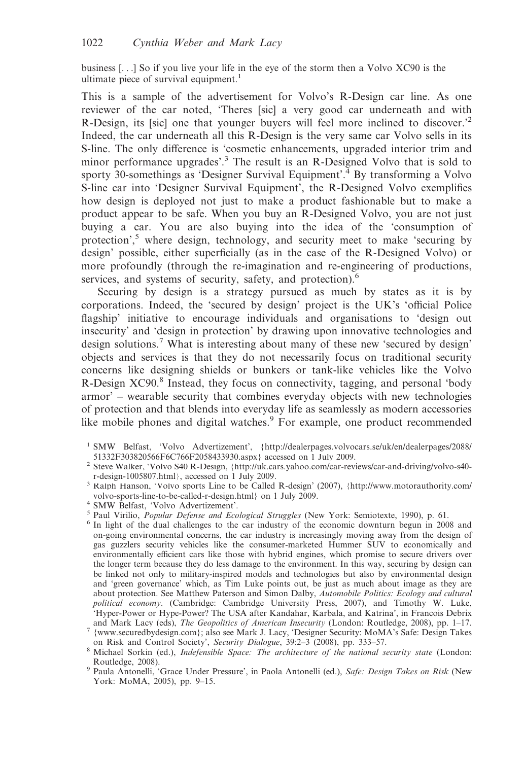business [. . .] So if you live your life in the eye of the storm then a Volvo XC90 is the ultimate piece of survival equipment.<sup>1</sup>

This is a sample of the advertisement for Volvo's R-Design car line. As one reviewer of the car noted, 'Theres [sic] a very good car underneath and with R-Design, its [sic] one that younger buyers will feel more inclined to discover.'2 Indeed, the car underneath all this R-Design is the very same car Volvo sells in its S-line. The only difference is 'cosmetic enhancements, upgraded interior trim and minor performance upgrades'.<sup>3</sup> The result is an R-Designed Volvo that is sold to sporty 30-somethings as 'Designer Survival Equipment'.<sup>4</sup> By transforming a Volvo S-line car into 'Designer Survival Equipment', the R-Designed Volvo exemplifies how design is deployed not just to make a product fashionable but to make a product appear to be safe. When you buy an R-Designed Volvo, you are not just buying a car. You are also buying into the idea of the 'consumption of protection',<sup>5</sup> where design, technology, and security meet to make 'securing by design' possible, either superficially (as in the case of the R-Designed Volvo) or more profoundly (through the re-imagination and re-engineering of productions, services, and systems of security, safety, and protection).<sup>6</sup>

Securing by design is a strategy pursued as much by states as it is by corporations. Indeed, the 'secured by design' project is the UK's 'official Police flagship' initiative to encourage individuals and organisations to 'design out insecurity' and 'design in protection' by drawing upon innovative technologies and design solutions.7 What is interesting about many of these new 'secured by design' objects and services is that they do not necessarily focus on traditional security concerns like designing shields or bunkers or tank-like vehicles like the Volvo R-Design XC90.<sup>8</sup> Instead, they focus on connectivity, tagging, and personal 'body armor' – wearable security that combines everyday objects with new technologies of protection and that blends into everyday life as seamlessly as modern accessories like mobile phones and digital watches.<sup>9</sup> For example, one product recommended

- <sup>1</sup> SMW Belfast, 'Volvo Advertizement', [{http://dealerpages.volvocars.se/uk/en/dealerpages/2088/](http://dealerpages.volvocars.se/uk/en/dealerpages/2088/51332F303820566F6C766F2058433930.aspx)
- <sup>2</sup> Steve Walker, 'Volvo S40 R-Design, [{http://uk.cars.yahoo.com/car-reviews/car-and-driving/volvo-s40-](http://uk.cars.yahoo.com/car-reviews/car-and-driving/volvo-s40-r-design-1005807.html)<br>r-design-1005807.html}, accessed on 1 July 2009.
- <sup>3</sup> Ralph Hanson, 'Volvo sports Line to be Called R-design' (2007), [{http://www.motorauthority.com/](http://www.motorauthority.com/volvo-sports-line-to-be-called-r-design.html) volvo-sports-line-to-be-called-r-design.html} on 1 July 2009.
- 
- 
- <sup>4</sup> SMW Belfast, 'Volvo Advertizement'.<br>
<sup>5</sup> Paul Virilio, *Popular Defense and Ecological Struggles* (New York: Semiotexte, 1990), p. 61.<br>
<sup>6</sup> In light of the dual challenges to the car industry of the economic downturn on-going environmental concerns, the car industry is increasingly moving away from the design of gas guzzlers security vehicles like the consumer-marketed Hummer SUV to economically and environmentally efficient cars like those with hybrid engines, which promise to secure drivers over the longer term because they do less damage to the environment. In this way, securing by design can be linked not only to military-inspired models and technologies but also by environmental design and 'green governance' which, as Tim Luke points out, be just as much about image as they are about protection. See Matthew Paterson and Simon Dalby, *Automobile Politics: Ecology and cultural political economy*. (Cambridge: Cambridge University Press, 2007), and Timothy W. Luke, 'Hyper-Power or Hype-Power? The USA after Kandahar, Karbala, and Katrina', in Francois Debrix

and Mark Lacy (eds), *The Geopolitics of American Insecurity* (London: Routledge, 2008), pp. 1–17.<br>
<sup>7</sup> [{www.securedbydesign.com}](http://www.securedbydesign.com); also see Mark J. Lacy, 'Designer Security: MoMA's Safe: Design Takes<br>
on Risk and Control S

<sup>&</sup>lt;sup>8</sup> Michael Sorkin (ed.), *Indefensible Space: The architecture of the national security state* (London: Routledge, 2008).

<sup>&</sup>lt;sup>9</sup> Paula Antonelli, 'Grace Under Pressure', in Paola Antonelli (ed.), *Safe: Design Takes on Risk* (New York: MoMA, 2005), pp. 9–15.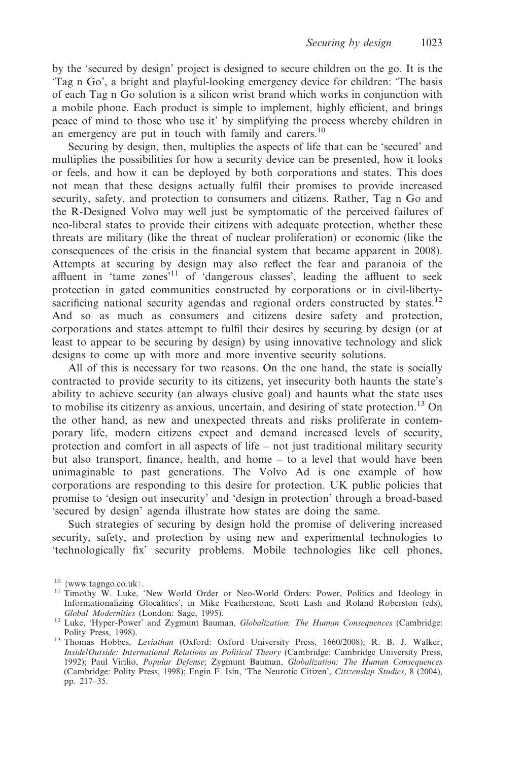by the 'secured by design' project is designed to secure children on the go. It is the 'Tag n Go', a bright and playful-looking emergency device for children: 'The basis of each Tag n Go solution is a silicon wrist brand which works in conjunction with a mobile phone. Each product is simple to implement, highly efficient, and brings peace of mind to those who use it' by simplifying the process whereby children in an emergency are put in touch with family and carers.<sup>10</sup>

Securing by design, then, multiplies the aspects of life that can be 'secured' and multiplies the possibilities for how a security device can be presented, how it looks or feels, and how it can be deployed by both corporations and states. This does not mean that these designs actually fulfil their promises to provide increased security, safety, and protection to consumers and citizens. Rather, Tag n Go and the R-Designed Volvo may well just be symptomatic of the perceived failures of neo-liberal states to provide their citizens with adequate protection, whether these threats are military (like the threat of nuclear proliferation) or economic (like the consequences of the crisis in the financial system that became apparent in 2008). Attempts at securing by design may also reflect the fear and paranoia of the affluent in 'tame zones'<sup>11</sup> of 'dangerous classes', leading the affluent to seek protection in gated communities constructed by corporations or in civil-libertysacrificing national security agendas and regional orders constructed by states.<sup>12</sup> And so as much as consumers and citizens desire safety and protection, corporations and states attempt to fulfil their desires by securing by design (or at least to appear to be securing by design) by using innovative technology and slick designs to come up with more and more inventive security solutions.

All of this is necessary for two reasons. On the one hand, the state is socially contracted to provide security to its citizens, yet insecurity both haunts the state's ability to achieve security (an always elusive goal) and haunts what the state uses to mobilise its citizenry as anxious, uncertain, and desiring of state protection.<sup>13</sup> On the other hand, as new and unexpected threats and risks proliferate in contemporary life, modern citizens expect and demand increased levels of security, protection and comfort in all aspects of life – not just traditional military security but also transport, finance, health, and home – to a level that would have been unimaginable to past generations. The Volvo Ad is one example of how corporations are responding to this desire for protection. UK public policies that promise to 'design out insecurity' and 'design in protection' through a broad-based 'secured by design' agenda illustrate how states are doing the same.

Such strategies of securing by design hold the promise of delivering increased security, safety, and protection by using new and experimental technologies to 'technologically fix' security problems. Mobile technologies like cell phones,

<sup>&</sup>lt;sup>10</sup> [{www.tagngo.co.uk}](http://www.tagngo.co.uk).<br><sup>11</sup> Timothy W. Luke, 'New World Order or Neo-World Orders: Power, Politics and Ideology in Informationalizing Glocalities', in Mike Featherstone, Scott Lash and Roland Roberston (eds), Global Modernities (London: Sage, 1995).

<sup>&</sup>lt;sup>12</sup> Luke, 'Hyper-Power' and Zygmunt Bauman, *Globalization: The Human Consequences* (Cambridge: Polity Press, 1998).

<sup>&</sup>lt;sup>13</sup> Thomas Hobbes, *Leviathan* (Oxford: Oxford University Press, 1660/2008); R. B. J. Walker, *Inside/Outside: International Relations as Political Theory* (Cambridge: Cambridge University Press, 1992); Paul Virilio, *Popular Defense*; Zygmunt Bauman, *Globalization: The Human Consequences* (Cambridge: Polity Press, 1998); Engin F. Isin, 'The Neurotic Citizen', *Citizenship Studies*, 8 (2004), pp. 217–35.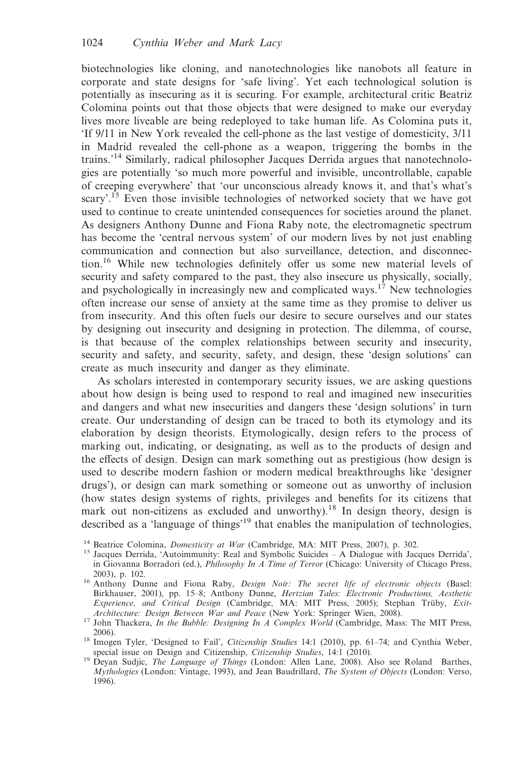biotechnologies like cloning, and nanotechnologies like nanobots all feature in corporate and state designs for 'safe living'. Yet each technological solution is potentially as insecuring as it is securing. For example, architectural critic Beatriz Colomina points out that those objects that were designed to make our everyday lives more liveable are being redeployed to take human life. As Colomina puts it, 'If 9/11 in New York revealed the cell-phone as the last vestige of domesticity, 3/11 in Madrid revealed the cell-phone as a weapon, triggering the bombs in the trains.'14 Similarly, radical philosopher Jacques Derrida argues that nanotechnologies are potentially 'so much more powerful and invisible, uncontrollable, capable of creeping everywhere' that 'our unconscious already knows it, and that's what's scary'.<sup>15</sup> Even those invisible technologies of networked society that we have got used to continue to create unintended consequences for societies around the planet. As designers Anthony Dunne and Fiona Raby note, the electromagnetic spectrum has become the 'central nervous system' of our modern lives by not just enabling communication and connection but also surveillance, detection, and disconnection.16 While new technologies definitely offer us some new material levels of security and safety compared to the past, they also insecure us physically, socially, and psychologically in increasingly new and complicated ways.<sup>17</sup> New technologies often increase our sense of anxiety at the same time as they promise to deliver us from insecurity. And this often fuels our desire to secure ourselves and our states by designing out insecurity and designing in protection. The dilemma, of course, is that because of the complex relationships between security and insecurity, security and safety, and security, safety, and design, these 'design solutions' can create as much insecurity and danger as they eliminate.

As scholars interested in contemporary security issues, we are asking questions about how design is being used to respond to real and imagined new insecurities and dangers and what new insecurities and dangers these 'design solutions' in turn create. Our understanding of design can be traced to both its etymology and its elaboration by design theorists. Etymologically, design refers to the process of marking out, indicating, or designating, as well as to the products of design and the effects of design. Design can mark something out as prestigious (how design is used to describe modern fashion or modern medical breakthroughs like 'designer drugs'), or design can mark something or someone out as unworthy of inclusion (how states design systems of rights, privileges and benefits for its citizens that mark out non-citizens as excluded and unworthy).<sup>18</sup> In design theory, design is described as a 'language of things'19 that enables the manipulation of technologies,

<sup>14</sup> Beatrice Colomina, *Domesticity at War* (Cambridge, MA: MIT Press, 2007), p. 302.<br><sup>15</sup> Jacques Derrida, 'Autoimmunity: Real and Symbolic Suicides – A Dialogue with Jacques Derrida', in Giovanna Borradori (ed.), *Philosophy In A Time of Terror* (Chicago: University of Chicago Press,

<sup>16</sup> Anthony Dunne and Fiona Raby, *Design Noir: The secret life of electronic objects* (Basel: Birkhauser, 2001), pp. 15–8; Anthony Dunne, *Hertzian Tales: Electronic Productions, Aesthetic Experience, and Critical Design* (Cambridge, MA: MIT Press, 2005); Stephan Trüby, *Exit-Architecture: Design Between War and Peace* (New York: Springer Wien, 2008). <sup>17</sup> John Thackera, *In the Bubble: Designing In A Complex World* (Cambridge, Mass: The MIT Press,

<sup>2006).</sup> <sup>18</sup> Imogen Tyler, 'Designed to Fail', *Citizenship Studies* 14:1 (2010), pp. 61–74; and Cynthia Weber,

<sup>&</sup>lt;sup>19</sup> Devan Sudjic, *The Language of Things* (London: Allen Lane, 2008). Also see Roland Barthes, *Mythologies* (London: Vintage, 1993), and Jean Baudrillard, *The System of Objects* (London: Verso, 1996).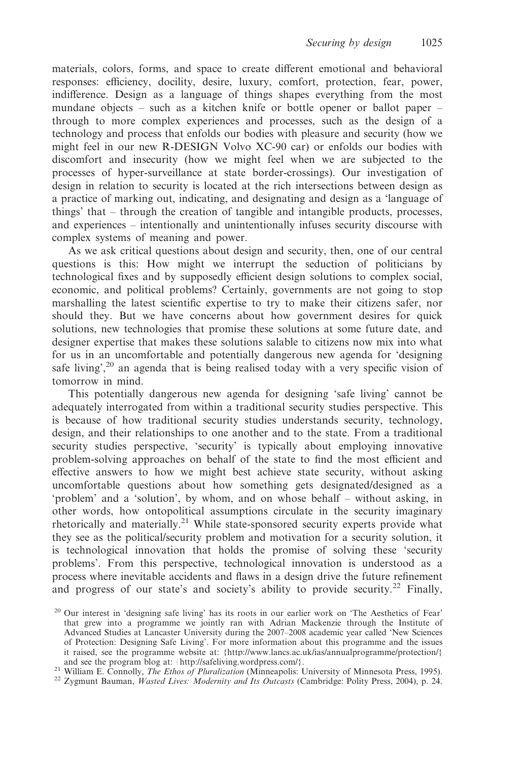materials, colors, forms, and space to create different emotional and behavioral responses: efficiency, docility, desire, luxury, comfort, protection, fear, power, indifference. Design as a language of things shapes everything from the most mundane objects – such as a kitchen knife or bottle opener or ballot paper – through to more complex experiences and processes, such as the design of a technology and process that enfolds our bodies with pleasure and security (how we might feel in our new R-DESIGN Volvo XC-90 car) or enfolds our bodies with discomfort and insecurity (how we might feel when we are subjected to the processes of hyper-surveillance at state border-crossings). Our investigation of design in relation to security is located at the rich intersections between design as a practice of marking out, indicating, and designating and design as a 'language of things' that – through the creation of tangible and intangible products, processes, and experiences – intentionally and unintentionally infuses security discourse with complex systems of meaning and power.

As we ask critical questions about design and security, then, one of our central questions is this: How might we interrupt the seduction of politicians by technological fixes and by supposedly efficient design solutions to complex social, economic, and political problems? Certainly, governments are not going to stop marshalling the latest scientific expertise to try to make their citizens safer, nor should they. But we have concerns about how government desires for quick solutions, new technologies that promise these solutions at some future date, and designer expertise that makes these solutions salable to citizens now mix into what for us in an uncomfortable and potentially dangerous new agenda for 'designing safe living',<sup>20</sup> an agenda that is being realised today with a very specific vision of tomorrow in mind.

This potentially dangerous new agenda for designing 'safe living' cannot be adequately interrogated from within a traditional security studies perspective. This is because of how traditional security studies understands security, technology, design, and their relationships to one another and to the state. From a traditional security studies perspective, 'security' is typically about employing innovative problem-solving approaches on behalf of the state to find the most efficient and effective answers to how we might best achieve state security, without asking uncomfortable questions about how something gets designated/designed as a 'problem' and a 'solution', by whom, and on whose behalf – without asking, in other words, how ontopolitical assumptions circulate in the security imaginary rhetorically and materially.<sup>21</sup> While state-sponsored security experts provide what they see as the political/security problem and motivation for a security solution, it is technological innovation that holds the promise of solving these 'security problems'. From this perspective, technological innovation is understood as a process where inevitable accidents and flaws in a design drive the future refinement and progress of our state's and society's ability to provide security.<sup>22</sup> Finally,

<sup>20</sup> Our interest in 'designing safe living' has its roots in our earlier work on 'The Aesthetics of Fear' that grew into a programme we jointly ran with Adrian Mackenzie through the Institute of Advanced Studies at Lancaster University during the 2007–2008 academic year called 'New Sciences of Protection: Designing Safe Living'. For more information about this programme and the issues it raised, see the programme website at: [{http://www.lancs.ac.uk/ias/annualprogramme/protection/}](http://www.lancs.ac.uk/ias/annualprogramme/protection/) and see the program blog at: {http://safeliving.wordpress.com/}.

<sup>&</sup>lt;sup>21</sup> William E. Connolly, *The Ethos of Pluralization* (Minneapolis: University of Minnesota Press, 1995).<br><sup>22</sup> Zygmunt Bauman, *Wasted Lives: Modernity and Its Outcasts* (Cambridge: Polity Press, 2004), p. 24.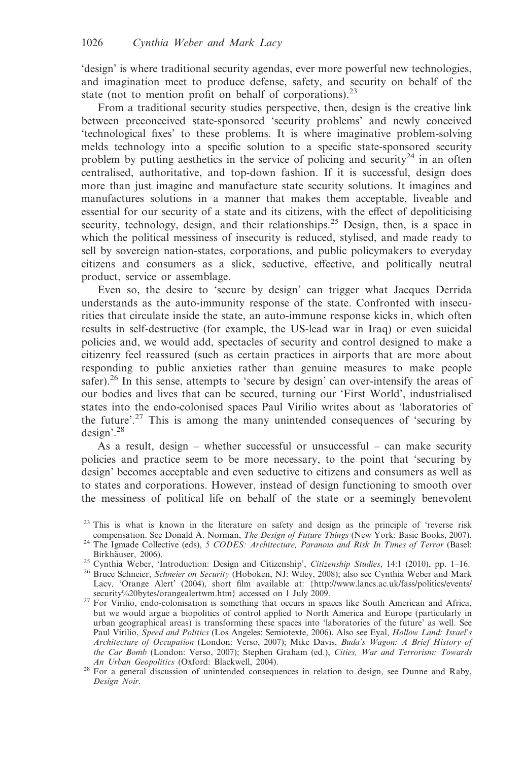'design' is where traditional security agendas, ever more powerful new technologies, and imagination meet to produce defense, safety, and security on behalf of the state (not to mention profit on behalf of corporations).<sup>23</sup>

From a traditional security studies perspective, then, design is the creative link between preconceived state-sponsored 'security problems' and newly conceived 'technological fixes' to these problems. It is where imaginative problem-solving melds technology into a specific solution to a specific state-sponsored security problem by putting aesthetics in the service of policing and security<sup>24</sup> in an often centralised, authoritative, and top-down fashion. If it is successful, design does more than just imagine and manufacture state security solutions. It imagines and manufactures solutions in a manner that makes them acceptable, liveable and essential for our security of a state and its citizens, with the effect of depoliticising security, technology, design, and their relationships.<sup>25</sup> Design, then, is a space in which the political messiness of insecurity is reduced, stylised, and made ready to sell by sovereign nation-states, corporations, and public policymakers to everyday citizens and consumers as a slick, seductive, effective, and politically neutral product, service or assemblage.

Even so, the desire to 'secure by design' can trigger what Jacques Derrida understands as the auto-immunity response of the state. Confronted with insecurities that circulate inside the state, an auto-immune response kicks in, which often results in self-destructive (for example, the US-lead war in Iraq) or even suicidal policies and, we would add, spectacles of security and control designed to make a citizenry feel reassured (such as certain practices in airports that are more about responding to public anxieties rather than genuine measures to make people safer).<sup>26</sup> In this sense, attempts to 'secure by design' can over-intensify the areas of our bodies and lives that can be secured, turning our 'First World', industrialised states into the endo-colonised spaces Paul Virilio writes about as 'laboratories of the future'.27 This is among the many unintended consequences of 'securing by design'.28

As a result, design – whether successful or unsuccessful – can make security policies and practice seem to be more necessary, to the point that 'securing by design' becomes acceptable and even seductive to citizens and consumers as well as to states and corporations. However, instead of design functioning to smooth over the messiness of political life on behalf of the state or a seemingly benevolent

<sup>&</sup>lt;sup>23</sup> This is what is known in the literature on safety and design as the principle of 'reverse risk

compensation. See Donald A. Norman, *The Design of Future Things* (New York: Basic Books, 2007). <sup>24</sup> The Igmade Collective (eds), *5 CODES: Architecture, Paranoia and Risk In Times of Terror* (Basel:

<sup>&</sup>lt;sup>25</sup> Cynthia Weber, 'Introduction: Design and Citizenship', Citizenship Studies, 14:1 (2010), pp. 1–16.<br><sup>26</sup> Bruce Schneier, Schneier on Security (Hoboken, NJ: Wiley, 2008); also see Cynthia Weber and Mark

Lacy, 'Orange Alert' (2004), short film available at: [{http://www.lancs.ac.uk/fass/politics/events/](http://www.lancs.ac.uk/fass/politics/events/security%20bytes/orangealertwm.htm)<br>security%20bytes/orangealertwm.htm} accessed on 1 July 2009.

<sup>&</sup>lt;sup>27</sup> For Virilio, endo-colonisation is something that occurs in spaces like South American and Africa, but we would argue a biopolitics of control applied to North America and Europe (particularly in urban geographical areas) is transforming these spaces into 'laboratories of the future' as well. See Paul Virilio, *Speed and Politics* (Los Angeles: Semiotexte, 2006). Also see Eyal, *Hollow Land: Israel's Architecture of Occupation* (London: Verso, 2007); Mike Davis, *Buda's Wagon: A Brief History of the Car Bomb* (London: Verso, 2007); Stephen Graham (ed.), *Cities, War and Terrorism: Towards*

<sup>&</sup>lt;sup>28</sup> For a general discussion of unintended consequences in relation to design, see Dunne and Raby, *Design Noir*.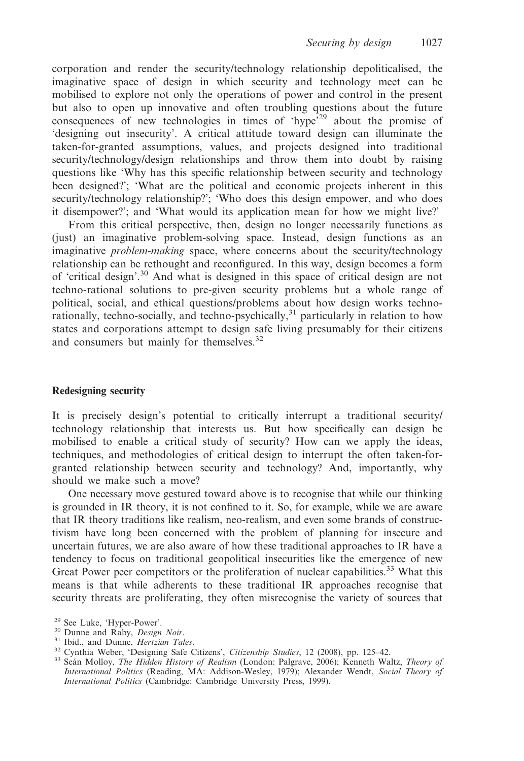corporation and render the security/technology relationship depoliticalised, the imaginative space of design in which security and technology meet can be mobilised to explore not only the operations of power and control in the present but also to open up innovative and often troubling questions about the future consequences of new technologies in times of 'hype'<sup>29</sup> about the promise of 'designing out insecurity'. A critical attitude toward design can illuminate the taken-for-granted assumptions, values, and projects designed into traditional security/technology/design relationships and throw them into doubt by raising questions like 'Why has this specific relationship between security and technology been designed?'; 'What are the political and economic projects inherent in this security/technology relationship?'; 'Who does this design empower, and who does it disempower?'; and 'What would its application mean for how we might live?'

From this critical perspective, then, design no longer necessarily functions as (just) an imaginative problem-solving space. Instead, design functions as an imaginative *problem-making* space, where concerns about the security/technology relationship can be rethought and reconfigured. In this way, design becomes a form of 'critical design'.30 And what is designed in this space of critical design are not techno-rational solutions to pre-given security problems but a whole range of political, social, and ethical questions/problems about how design works technorationally, techno-socially, and techno-psychically,<sup>31</sup> particularly in relation to how states and corporations attempt to design safe living presumably for their citizens and consumers but mainly for themselves.<sup>32</sup>

#### **Redesigning security**

It is precisely design's potential to critically interrupt a traditional security/ technology relationship that interests us. But how specifically can design be mobilised to enable a critical study of security? How can we apply the ideas, techniques, and methodologies of critical design to interrupt the often taken-forgranted relationship between security and technology? And, importantly, why should we make such a move?

One necessary move gestured toward above is to recognise that while our thinking is grounded in IR theory, it is not confined to it. So, for example, while we are aware that IR theory traditions like realism, neo-realism, and even some brands of constructivism have long been concerned with the problem of planning for insecure and uncertain futures, we are also aware of how these traditional approaches to IR have a tendency to focus on traditional geopolitical insecurities like the emergence of new Great Power peer competitors or the proliferation of nuclear capabilities.<sup>33</sup> What this means is that while adherents to these traditional IR approaches recognise that security threats are proliferating, they often misrecognise the variety of sources that

<sup>&</sup>lt;sup>29</sup> See Luke, 'Hyper-Power'.<br><sup>30</sup> Dunne and Raby, *Design Noir.*<br><sup>31</sup> Ibid., and Dunne, *Hertzian Tales.*<br><sup>32</sup> Cynthia Weber, 'Designing Safe Citizens', *Citizenship Studies*, 12 (2008), pp. 125–42.<br><sup>33</sup> Seán Molloy, *The International Politics* (Reading, MA: Addison-Wesley, 1979); Alexander Wendt, *Social Theory of International Politics* (Cambridge: Cambridge University Press, 1999).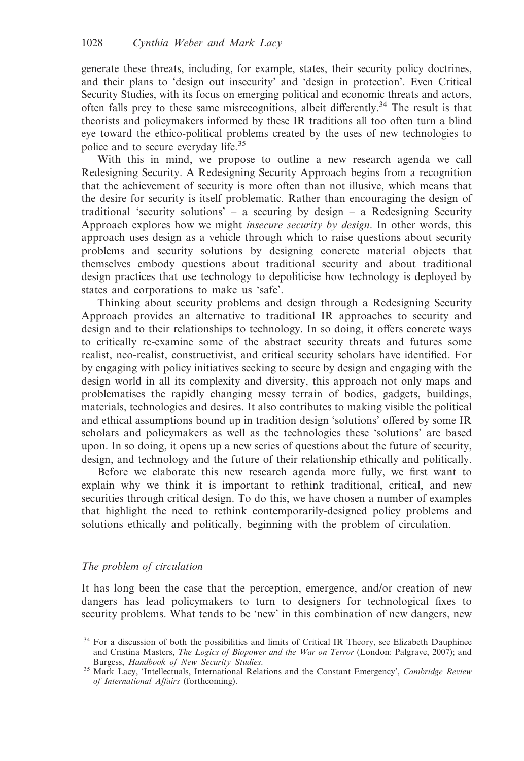generate these threats, including, for example, states, their security policy doctrines, and their plans to 'design out insecurity' and 'design in protection'. Even Critical Security Studies, with its focus on emerging political and economic threats and actors, often falls prey to these same misrecognitions, albeit differently.<sup>34</sup> The result is that theorists and policymakers informed by these IR traditions all too often turn a blind eye toward the ethico-political problems created by the uses of new technologies to police and to secure everyday life.35

With this in mind, we propose to outline a new research agenda we call Redesigning Security. A Redesigning Security Approach begins from a recognition that the achievement of security is more often than not illusive, which means that the desire for security is itself problematic. Rather than encouraging the design of traditional 'security solutions' – a securing by design – a Redesigning Security Approach explores how we might *insecure security by design*. In other words, this approach uses design as a vehicle through which to raise questions about security problems and security solutions by designing concrete material objects that themselves embody questions about traditional security and about traditional design practices that use technology to depoliticise how technology is deployed by states and corporations to make us 'safe'.

Thinking about security problems and design through a Redesigning Security Approach provides an alternative to traditional IR approaches to security and design and to their relationships to technology. In so doing, it offers concrete ways to critically re-examine some of the abstract security threats and futures some realist, neo-realist, constructivist, and critical security scholars have identified. For by engaging with policy initiatives seeking to secure by design and engaging with the design world in all its complexity and diversity, this approach not only maps and problematises the rapidly changing messy terrain of bodies, gadgets, buildings, materials, technologies and desires. It also contributes to making visible the political and ethical assumptions bound up in tradition design 'solutions' offered by some IR scholars and policymakers as well as the technologies these 'solutions' are based upon. In so doing, it opens up a new series of questions about the future of security, design, and technology and the future of their relationship ethically and politically.

Before we elaborate this new research agenda more fully, we first want to explain why we think it is important to rethink traditional, critical, and new securities through critical design. To do this, we have chosen a number of examples that highlight the need to rethink contemporarily-designed policy problems and solutions ethically and politically, beginning with the problem of circulation.

### *The problem of circulation*

It has long been the case that the perception, emergence, and/or creation of new dangers has lead policymakers to turn to designers for technological fixes to security problems. What tends to be 'new' in this combination of new dangers, new

<sup>&</sup>lt;sup>34</sup> For a discussion of both the possibilities and limits of Critical IR Theory, see Elizabeth Dauphinee and Cristina Masters, *The Logics of Biopower and the War on Terror* (London: Palgrave, 2007); and

<sup>&</sup>lt;sup>35</sup> Mark Lacy, 'Intellectuals, International Relations and the Constant Emergency', *Cambridge Review of International Affairs* (forthcoming).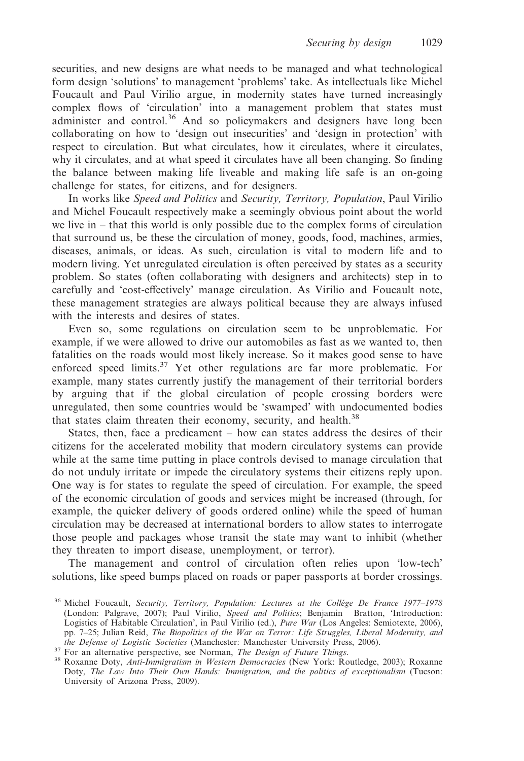securities, and new designs are what needs to be managed and what technological form design 'solutions' to management 'problems' take. As intellectuals like Michel Foucault and Paul Virilio argue, in modernity states have turned increasingly complex flows of 'circulation' into a management problem that states must administer and control.<sup>36</sup> And so policymakers and designers have long been collaborating on how to 'design out insecurities' and 'design in protection' with respect to circulation. But what circulates, how it circulates, where it circulates, why it circulates, and at what speed it circulates have all been changing. So finding the balance between making life liveable and making life safe is an on-going challenge for states, for citizens, and for designers.

In works like *Speed and Politics* and *Security, Territory, Population*, Paul Virilio and Michel Foucault respectively make a seemingly obvious point about the world we live in – that this world is only possible due to the complex forms of circulation that surround us, be these the circulation of money, goods, food, machines, armies, diseases, animals, or ideas. As such, circulation is vital to modern life and to modern living. Yet unregulated circulation is often perceived by states as a security problem. So states (often collaborating with designers and architects) step in to carefully and 'cost-effectively' manage circulation. As Virilio and Foucault note, these management strategies are always political because they are always infused with the interests and desires of states.

Even so, some regulations on circulation seem to be unproblematic. For example, if we were allowed to drive our automobiles as fast as we wanted to, then fatalities on the roads would most likely increase. So it makes good sense to have enforced speed limits.<sup>37</sup> Yet other regulations are far more problematic. For example, many states currently justify the management of their territorial borders by arguing that if the global circulation of people crossing borders were unregulated, then some countries would be 'swamped' with undocumented bodies that states claim threaten their economy, security, and health.<sup>38</sup>

States, then, face a predicament – how can states address the desires of their citizens for the accelerated mobility that modern circulatory systems can provide while at the same time putting in place controls devised to manage circulation that do not unduly irritate or impede the circulatory systems their citizens reply upon. One way is for states to regulate the speed of circulation. For example, the speed of the economic circulation of goods and services might be increased (through, for example, the quicker delivery of goods ordered online) while the speed of human circulation may be decreased at international borders to allow states to interrogate those people and packages whose transit the state may want to inhibit (whether they threaten to import disease, unemployment, or terror).

The management and control of circulation often relies upon 'low-tech' solutions, like speed bumps placed on roads or paper passports at border crossings.

<sup>36</sup> Michel Foucault, *Security, Territory, Population: Lectures at the Collége De France 1977–1978* (London: Palgrave, 2007); Paul Virilio, *Speed and Politics*; Benjamin Bratton, 'Introduction: Logistics of Habitable Circulation', in Paul Virilio (ed.), *Pure War* (Los Angeles: Semiotexte, 2006), pp. 7–25; Julian Reid, *The Biopolitics of the War on Terror: Life Struggles, Liberal Modernity, and*

<sup>&</sup>lt;sup>37</sup> For an alternative perspective, see Norman, *The Design of Future Things*.<br><sup>38</sup> Roxanne Doty, *Anti-Immigratism in Western Democracies* (New York: Routledge, 2003); Roxanne Doty, *The Law Into Their Own Hands: Immigration, and the politics of exceptionalism* (Tucson: University of Arizona Press, 2009).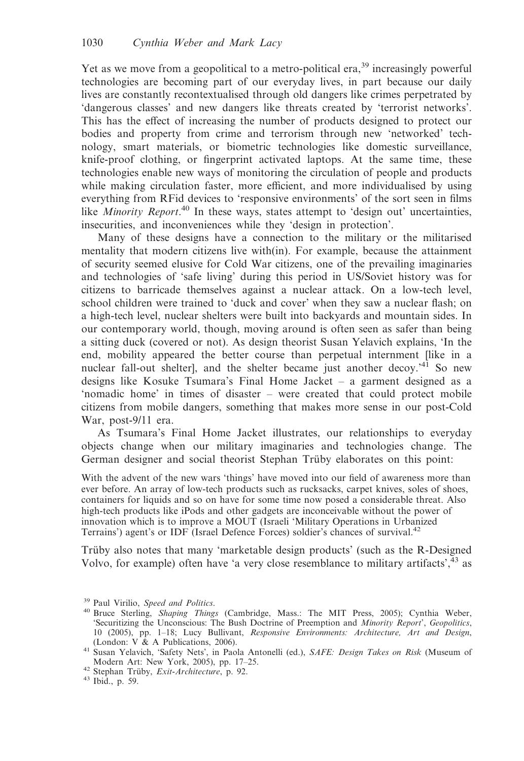Yet as we move from a geopolitical to a metro-political  $era<sub>3</sub><sup>39</sup>$  increasingly powerful technologies are becoming part of our everyday lives, in part because our daily lives are constantly recontextualised through old dangers like crimes perpetrated by 'dangerous classes' and new dangers like threats created by 'terrorist networks'. This has the effect of increasing the number of products designed to protect our bodies and property from crime and terrorism through new 'networked' technology, smart materials, or biometric technologies like domestic surveillance, knife-proof clothing, or fingerprint activated laptops. At the same time, these technologies enable new ways of monitoring the circulation of people and products while making circulation faster, more efficient, and more individualised by using everything from RFid devices to 'responsive environments' of the sort seen in films like *Minority Report*.<sup>40</sup> In these ways, states attempt to 'design out' uncertainties, insecurities, and inconveniences while they 'design in protection'.

Many of these designs have a connection to the military or the militarised mentality that modern citizens live with(in). For example, because the attainment of security seemed elusive for Cold War citizens, one of the prevailing imaginaries and technologies of 'safe living' during this period in US/Soviet history was for citizens to barricade themselves against a nuclear attack. On a low-tech level, school children were trained to 'duck and cover' when they saw a nuclear flash; on a high-tech level, nuclear shelters were built into backyards and mountain sides. In our contemporary world, though, moving around is often seen as safer than being a sitting duck (covered or not). As design theorist Susan Yelavich explains, 'In the end, mobility appeared the better course than perpetual internment [like in a nuclear fall-out shelter], and the shelter became just another decoy.<sup>'41</sup> So new designs like Kosuke Tsumara's Final Home Jacket – a garment designed as a 'nomadic home' in times of disaster – were created that could protect mobile citizens from mobile dangers, something that makes more sense in our post-Cold War, post-9/11 era.

As Tsumara's Final Home Jacket illustrates, our relationships to everyday objects change when our military imaginaries and technologies change. The German designer and social theorist Stephan Trüby elaborates on this point:

With the advent of the new wars 'things' have moved into our field of awareness more than ever before. An array of low-tech products such as rucksacks, carpet knives, soles of shoes, containers for liquids and so on have for some time now posed a considerable threat. Also high-tech products like iPods and other gadgets are inconceivable without the power of innovation which is to improve a MOUT (Israeli 'Military Operations in Urbanized Terrains') agent's or IDF (Israel Defence Forces) soldier's chances of survival.42

Trüby also notes that many 'marketable design products' (such as the R-Designed Volvo, for example) often have 'a very close resemblance to military artifacts'.<sup>43</sup> as

<sup>&</sup>lt;sup>39</sup> Paul Virilio, *Speed and Politics*.<br><sup>40</sup> Bruce Sterling, *Shaping Things* (Cambridge, Mass.: The MIT Press, 2005); Cynthia Weber, 'Securitizing the Unconscious: The Bush Doctrine of Preemption and *Minority Report*', *Geopolitics*, 10 (2005), pp. 1–18; Lucy Bullivant, *Responsive Environments: Architecture, Art and Design*,

<sup>&</sup>lt;sup>41</sup> Susan Yelavich, 'Safety Nets', in Paola Antonelli (ed.), *SAFE: Design Takes on Risk* (Museum of Modern Art: New York, 2005), pp. 17–25.

<sup>&</sup>lt;sup>42</sup> Stephan Trüby, *Exit-Architecture*, p. 92.<br><sup>43</sup> Ibid., p. 59.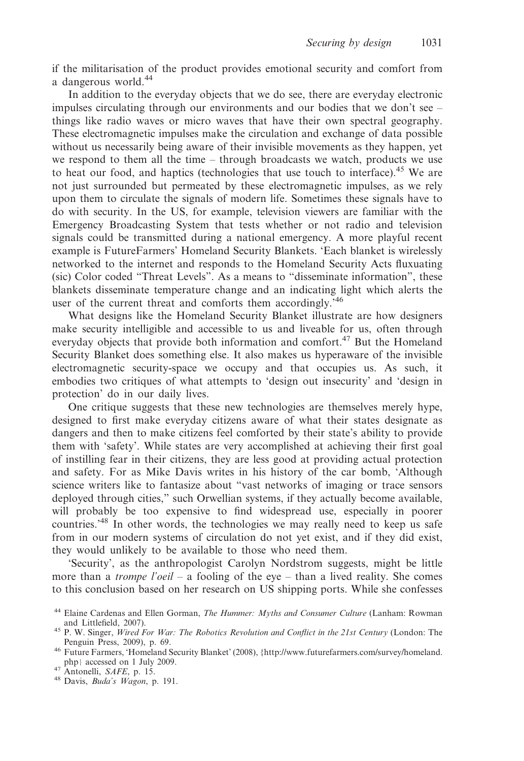if the militarisation of the product provides emotional security and comfort from a dangerous world.<sup>44</sup>

In addition to the everyday objects that we do see, there are everyday electronic impulses circulating through our environments and our bodies that we don't see – things like radio waves or micro waves that have their own spectral geography. These electromagnetic impulses make the circulation and exchange of data possible without us necessarily being aware of their invisible movements as they happen, yet we respond to them all the time – through broadcasts we watch, products we use to heat our food, and haptics (technologies that use touch to interface).<sup>45</sup> We are not just surrounded but permeated by these electromagnetic impulses, as we rely upon them to circulate the signals of modern life. Sometimes these signals have to do with security. In the US, for example, television viewers are familiar with the Emergency Broadcasting System that tests whether or not radio and television signals could be transmitted during a national emergency. A more playful recent example is FutureFarmers' Homeland Security Blankets. 'Each blanket is wirelessly networked to the internet and responds to the Homeland Security Acts fluxuating (sic) Color coded "Threat Levels". As a means to "disseminate information", these blankets disseminate temperature change and an indicating light which alerts the user of the current threat and comforts them accordingly.<sup>46</sup>

What designs like the Homeland Security Blanket illustrate are how designers make security intelligible and accessible to us and liveable for us, often through everyday objects that provide both information and comfort.<sup>47</sup> But the Homeland Security Blanket does something else. It also makes us hyperaware of the invisible electromagnetic security-space we occupy and that occupies us. As such, it embodies two critiques of what attempts to 'design out insecurity' and 'design in protection' do in our daily lives.

One critique suggests that these new technologies are themselves merely hype, designed to first make everyday citizens aware of what their states designate as dangers and then to make citizens feel comforted by their state's ability to provide them with 'safety'. While states are very accomplished at achieving their first goal of instilling fear in their citizens, they are less good at providing actual protection and safety. For as Mike Davis writes in his history of the car bomb, 'Although science writers like to fantasize about "vast networks of imaging or trace sensors deployed through cities," such Orwellian systems, if they actually become available, will probably be too expensive to find widespread use, especially in poorer countries.<sup>'48</sup> In other words, the technologies we may really need to keep us safe from in our modern systems of circulation do not yet exist, and if they did exist, they would unlikely to be available to those who need them.

'Security', as the anthropologist Carolyn Nordstrom suggests, might be little more than a *trompe l'oeil* – a fooling of the eye – than a lived reality. She comes to this conclusion based on her research on US shipping ports. While she confesses

<sup>44</sup> Elaine Cardenas and Ellen Gorman, *The Hummer: Myths and Consumer Culture* (Lanham: Rowman

<sup>&</sup>lt;sup>45</sup> P. W. Singer, *Wired For War: The Robotics Revolution and Conflict in the 21st Century* (London: The Penguin Press, 2009), p. 69.

<sup>&</sup>lt;sup>46</sup> Future Farmers, 'Homeland Security Blanket' (2008), [{http://www.futurefarmers.com/survey/homeland.](http://www.futurefarmers.com/survey/homeland.php)<br>php} accessed on 1 July 2009.

<sup>&</sup>lt;sup>47</sup> Antonelli, *SAFE*, p. 15.<br><sup>48</sup> Davis, *Buda's Wagon*, p. 191.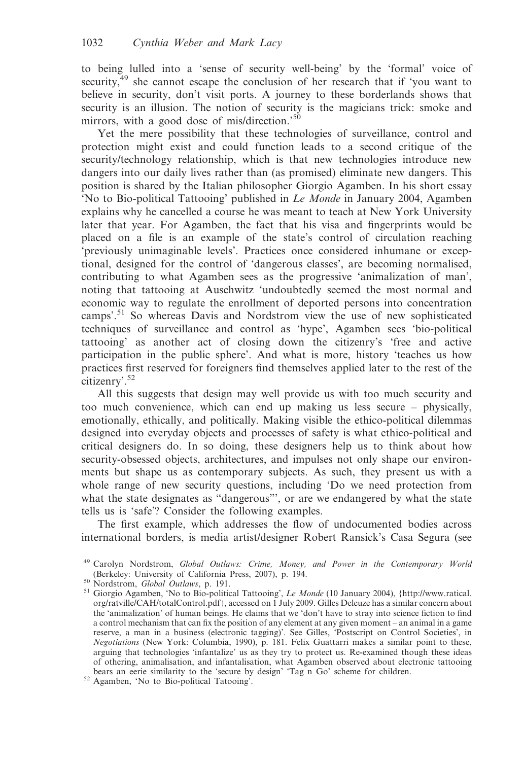to being lulled into a 'sense of security well-being' by the 'formal' voice of security,<sup>49</sup> she cannot escape the conclusion of her research that if 'you want to believe in security, don't visit ports. A journey to these borderlands shows that security is an illusion. The notion of security is the magicians trick: smoke and mirrors, with a good dose of mis/direction.'50

Yet the mere possibility that these technologies of surveillance, control and protection might exist and could function leads to a second critique of the security/technology relationship, which is that new technologies introduce new dangers into our daily lives rather than (as promised) eliminate new dangers. This position is shared by the Italian philosopher Giorgio Agamben. In his short essay 'No to Bio-political Tattooing' published in *Le Monde* in January 2004, Agamben explains why he cancelled a course he was meant to teach at New York University later that year. For Agamben, the fact that his visa and fingerprints would be placed on a file is an example of the state's control of circulation reaching 'previously unimaginable levels'. Practices once considered inhumane or exceptional, designed for the control of 'dangerous classes', are becoming normalised, contributing to what Agamben sees as the progressive 'animalization of man', noting that tattooing at Auschwitz 'undoubtedly seemed the most normal and economic way to regulate the enrollment of deported persons into concentration camps'.<sup>51</sup> So whereas Davis and Nordstrom view the use of new sophisticated techniques of surveillance and control as 'hype', Agamben sees 'bio-political tattooing' as another act of closing down the citizenry's 'free and active participation in the public sphere'. And what is more, history 'teaches us how practices first reserved for foreigners find themselves applied later to the rest of the citizenry'.52

All this suggests that design may well provide us with too much security and too much convenience, which can end up making us less secure – physically, emotionally, ethically, and politically. Making visible the ethico-political dilemmas designed into everyday objects and processes of safety is what ethico-political and critical designers do. In so doing, these designers help us to think about how security-obsessed objects, architectures, and impulses not only shape our environments but shape us as contemporary subjects. As such, they present us with a whole range of new security questions, including 'Do we need protection from what the state designates as "dangerous"', or are we endangered by what the state tells us is 'safe'? Consider the following examples.

The first example, which addresses the flow of undocumented bodies across international borders, is media artist/designer Robert Ransick's Casa Segura (see

<sup>49</sup> Carolyn Nordstrom, *Global Outlaws: Crime, Money, and Power in the Contemporary World*

<sup>&</sup>lt;sup>50</sup> Nordstrom, *Global Outlaws*, p. 191.<br><sup>51</sup> Giorgio Agamben, 'No to Bio-political Tattooing', *Le Monde* (10 January 2004), [{http://www.ratical.](http://www.ratical.org/ratville/CAH/totalControl.pdf) [org/ratville/CAH/totalControl.pdf}](http://www.ratical.org/ratville/CAH/totalControl.pdf), accessed on 1 July 2009. Gilles Deleuze has a similar concern about the 'animalization' of human beings. He claims that we 'don't have to stray into science fiction to find a control mechanism that can fix the position of any element at any given moment – an animal in a game reserve, a man in a business (electronic tagging)'. See Gilles, 'Postscript on Control Societies', in *Negotiations* (New York: Columbia, 1990), p. 181. Felix Guattarri makes a similar point to these, arguing that technologies 'infantalize' us as they try to protect us. Re-examined though these ideas of othering, animalisation, and infantalisation, what Agamben observed about electronic tattooing bears an eerie similarity to the 'secure by design' 'Tag n Go' scheme for children. <sup>52</sup> Agamben, 'No to Bio-political Tatooing'.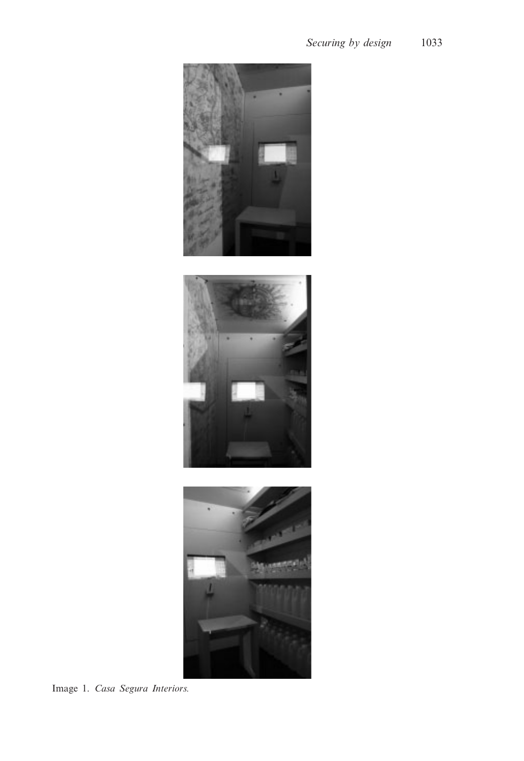

Image 1. *Casa Segura Interiors.*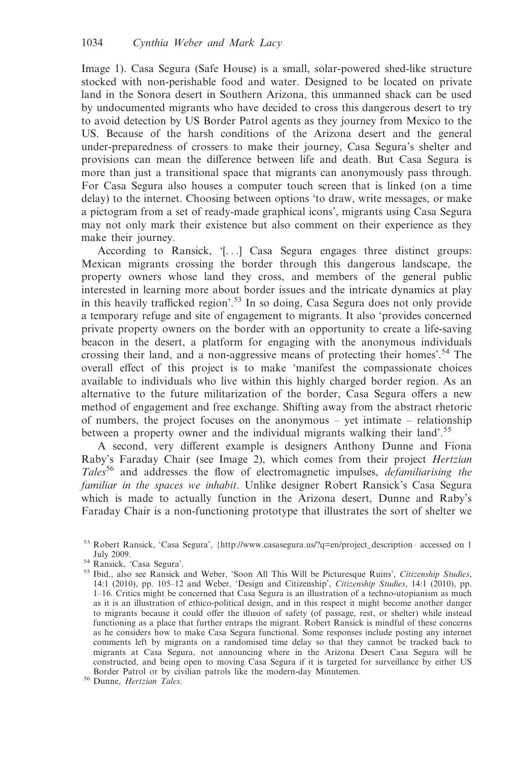Image 1). Casa Segura (Safe House) is a small, solar-powered shed-like structure stocked with non-perishable food and water. Designed to be located on private land in the Sonora desert in Southern Arizona, this unmanned shack can be used by undocumented migrants who have decided to cross this dangerous desert to try to avoid detection by US Border Patrol agents as they journey from Mexico to the US. Because of the harsh conditions of the Arizona desert and the general under-preparedness of crossers to make their journey, Casa Segura's shelter and provisions can mean the difference between life and death. But Casa Segura is more than just a transitional space that migrants can anonymously pass through. For Casa Segura also houses a computer touch screen that is linked (on a time delay) to the internet. Choosing between options 'to draw, write messages, or make a pictogram from a set of ready-made graphical icons', migrants using Casa Segura may not only mark their existence but also comment on their experience as they make their journey.

According to Ransick, '[...] Casa Segura engages three distinct groups: Mexican migrants crossing the border through this dangerous landscape, the property owners whose land they cross, and members of the general public interested in learning more about border issues and the intricate dynamics at play in this heavily trafficked region'.53 In so doing, Casa Segura does not only provide a temporary refuge and site of engagement to migrants. It also 'provides concerned private property owners on the border with an opportunity to create a life-saving beacon in the desert, a platform for engaging with the anonymous individuals crossing their land, and a non-aggressive means of protecting their homes'.<sup>54</sup> The overall effect of this project is to make 'manifest the compassionate choices available to individuals who live within this highly charged border region. As an alternative to the future militarization of the border, Casa Segura offers a new method of engagement and free exchange. Shifting away from the abstract rhetoric of numbers, the project focuses on the anonymous – yet intimate – relationship between a property owner and the individual migrants walking their land'.55

A second, very different example is designers Anthony Dunne and Fiona Raby's Faraday Chair (see Image 2), which comes from their project *Hertzian Tales*<sup>56</sup> and addresses the flow of electromagnetic impulses, *defamiliarising the familiar in the spaces we inhabit*. Unlike designer Robert Ransick's Casa Segura which is made to actually function in the Arizona desert, Dunne and Raby's Faraday Chair is a non-functioning prototype that illustrates the sort of shelter we

<sup>53</sup> Robert Ransick, 'Casa Segura', [{http://www.casasegura.us/?q=en/project\\_description}](http://www.casasegura.us/?q=en/project_description) accessed on 1

<sup>&</sup>lt;sup>54</sup> Ransick, 'Casa Segura'.<br><sup>55</sup> Ibid., also see Ransick and Weber, 'Soon All This Will be Picturesque Ruins', *Citizenship Studies*, 14:1 (2010), pp. 105–12 and Weber, 'Design and Citizenship', *Citizenship Studies*, 14:1 (2010), pp. 1–16. Critics might be concerned that Casa Segura is an illustration of a techno-utopianism as much as it is an illustration of ethico-political design, and in this respect it might become another danger to migrants because it could offer the illusion of safety (of passage, rest, or shelter) while instead functioning as a place that further entraps the migrant. Robert Ransick is mindful of these concerns as he considers how to make Casa Segura functional. Some responses include posting any internet comments left by migrants on a randomised time delay so that they cannot be tracked back to migrants at Casa Segura, not announcing where in the Arizona Desert Casa Segura will be constructed, and being open to moving Casa Segura if it is targeted for surveillance by either US Border Patrol or by civilian patrols like the modern-day Minutemen. <sup>56</sup> Dunne, *Hertzian Tales*.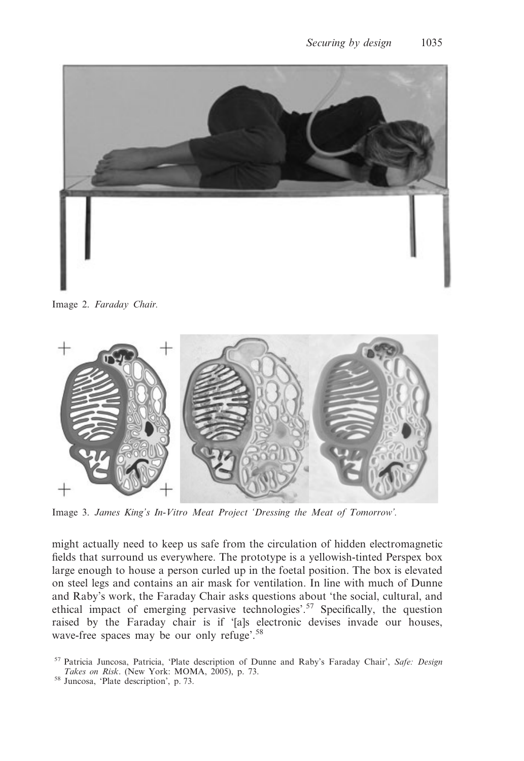

Image 2. *Faraday Chair.*



Image 3. *James King's In-Vitro Meat Project 'Dressing the Meat of Tomorrow'.*

might actually need to keep us safe from the circulation of hidden electromagnetic fields that surround us everywhere. The prototype is a yellowish-tinted Perspex box large enough to house a person curled up in the foetal position. The box is elevated on steel legs and contains an air mask for ventilation. In line with much of Dunne and Raby's work, the Faraday Chair asks questions about 'the social, cultural, and ethical impact of emerging pervasive technologies'.57 Specifically, the question raised by the Faraday chair is if '[a]s electronic devises invade our houses, wave-free spaces may be our only refuge'.<sup>58</sup>

<sup>57</sup> Patricia Juncosa, Patricia, 'Plate description of Dunne and Raby's Faraday Chair', *Safe: Design*

<sup>&</sup>lt;sup>58</sup> Juncosa, 'Plate description', p. 73.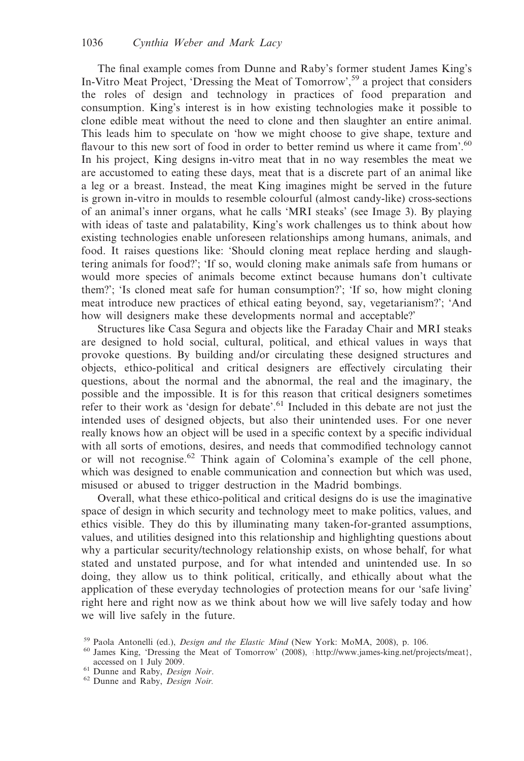The final example comes from Dunne and Raby's former student James King's In-Vitro Meat Project, 'Dressing the Meat of Tomorrow',<sup>59</sup> a project that considers the roles of design and technology in practices of food preparation and consumption. King's interest is in how existing technologies make it possible to clone edible meat without the need to clone and then slaughter an entire animal. This leads him to speculate on 'how we might choose to give shape, texture and flavour to this new sort of food in order to better remind us where it came from'.<sup>60</sup> In his project, King designs in-vitro meat that in no way resembles the meat we are accustomed to eating these days, meat that is a discrete part of an animal like a leg or a breast. Instead, the meat King imagines might be served in the future is grown in-vitro in moulds to resemble colourful (almost candy-like) cross-sections of an animal's inner organs, what he calls 'MRI steaks' (see Image 3). By playing with ideas of taste and palatability, King's work challenges us to think about how existing technologies enable unforeseen relationships among humans, animals, and food. It raises questions like: 'Should cloning meat replace herding and slaughtering animals for food?'; 'If so, would cloning make animals safe from humans or would more species of animals become extinct because humans don't cultivate them?'; 'Is cloned meat safe for human consumption?'; 'If so, how might cloning meat introduce new practices of ethical eating beyond, say, vegetarianism?'; 'And how will designers make these developments normal and acceptable?'

Structures like Casa Segura and objects like the Faraday Chair and MRI steaks are designed to hold social, cultural, political, and ethical values in ways that provoke questions. By building and/or circulating these designed structures and objects, ethico-political and critical designers are effectively circulating their questions, about the normal and the abnormal, the real and the imaginary, the possible and the impossible. It is for this reason that critical designers sometimes refer to their work as 'design for debate'.<sup>61</sup> Included in this debate are not just the intended uses of designed objects, but also their unintended uses. For one never really knows how an object will be used in a specific context by a specific individual with all sorts of emotions, desires, and needs that commodified technology cannot or will not recognise.62 Think again of Colomina's example of the cell phone, which was designed to enable communication and connection but which was used, misused or abused to trigger destruction in the Madrid bombings.

Overall, what these ethico-political and critical designs do is use the imaginative space of design in which security and technology meet to make politics, values, and ethics visible. They do this by illuminating many taken-for-granted assumptions, values, and utilities designed into this relationship and highlighting questions about why a particular security/technology relationship exists, on whose behalf, for what stated and unstated purpose, and for what intended and unintended use. In so doing, they allow us to think political, critically, and ethically about what the application of these everyday technologies of protection means for our 'safe living' right here and right now as we think about how we will live safely today and how we will live safely in the future.

<sup>&</sup>lt;sup>59</sup> Paola Antonelli (ed.), *Design and the Elastic Mind* (New York: MoMA, 2008), p. 106.<br><sup>60</sup> James King, 'Dressing the Meat of Tomorrow' (2008), [{http://www.james-king.net/projects/meat}](http://www.james-king.net/projects/meat), accessed on 1 July 2009.

<sup>&</sup>lt;sup>61</sup> Dunne and Raby, *Design Noir*. <sup>62</sup> Dunne and Raby, *Design Noir*.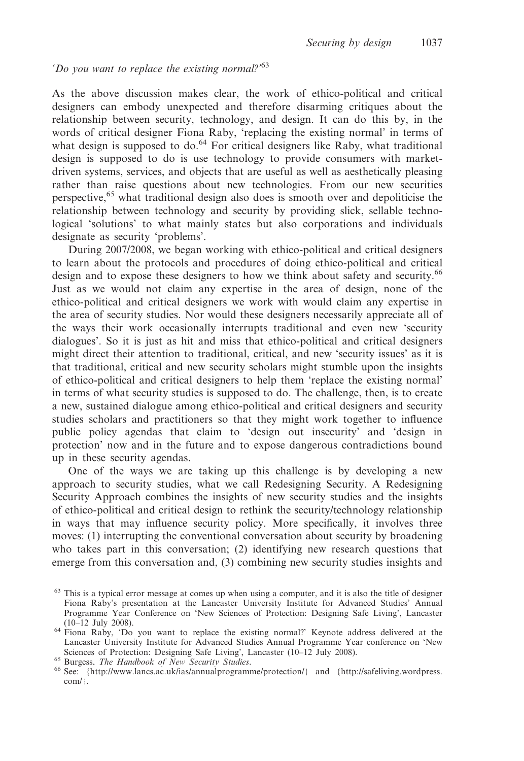### *'Do you want to replace the existing normal?'*<sup>63</sup>

As the above discussion makes clear, the work of ethico-political and critical designers can embody unexpected and therefore disarming critiques about the relationship between security, technology, and design. It can do this by, in the words of critical designer Fiona Raby, 'replacing the existing normal' in terms of what design is supposed to do.<sup>64</sup> For critical designers like Raby, what traditional design is supposed to do is use technology to provide consumers with marketdriven systems, services, and objects that are useful as well as aesthetically pleasing rather than raise questions about new technologies. From our new securities perspective,65 what traditional design also does is smooth over and depoliticise the relationship between technology and security by providing slick, sellable technological 'solutions' to what mainly states but also corporations and individuals designate as security 'problems'.

During 2007/2008, we began working with ethico-political and critical designers to learn about the protocols and procedures of doing ethico-political and critical design and to expose these designers to how we think about safety and security.<sup>66</sup> Just as we would not claim any expertise in the area of design, none of the ethico-political and critical designers we work with would claim any expertise in the area of security studies. Nor would these designers necessarily appreciate all of the ways their work occasionally interrupts traditional and even new 'security dialogues'. So it is just as hit and miss that ethico-political and critical designers might direct their attention to traditional, critical, and new 'security issues' as it is that traditional, critical and new security scholars might stumble upon the insights of ethico-political and critical designers to help them 'replace the existing normal' in terms of what security studies is supposed to do. The challenge, then, is to create a new, sustained dialogue among ethico-political and critical designers and security studies scholars and practitioners so that they might work together to influence public policy agendas that claim to 'design out insecurity' and 'design in protection' now and in the future and to expose dangerous contradictions bound up in these security agendas.

One of the ways we are taking up this challenge is by developing a new approach to security studies, what we call Redesigning Security. A Redesigning Security Approach combines the insights of new security studies and the insights of ethico-political and critical design to rethink the security/technology relationship in ways that may influence security policy. More specifically, it involves three moves: (1) interrupting the conventional conversation about security by broadening who takes part in this conversation; (2) identifying new research questions that emerge from this conversation and, (3) combining new security studies insights and

<sup>&</sup>lt;sup>63</sup> This is a typical error message at comes up when using a computer, and it is also the title of designer Fiona Raby's presentation at the Lancaster University Institute for Advanced Studies' Annual Programme Year Conference on 'New Sciences of Protection: Designing Safe Living', Lancaster

<sup>&</sup>lt;sup>64</sup> Fiona Raby, 'Do you want to replace the existing normal?' Keynote address delivered at the Lancaster University Institute for Advanced Studies Annual Programme Year conference on 'New Sciences of Protection: Designing Safe Living', Lancaster (10-12 July 2008).

<sup>&</sup>lt;sup>65</sup> Burgess, *The Handbook of New Security Studies*.<br><sup>66</sup> See: [{http://www.lancs.ac.uk/ias/annualprogramme/protection/}](http://www.lancs.ac.uk/ias/annualprogramme/protection/) and [{http://safeliving.wordpress.](http://safeliving.wordpress.com/) [com/}](http://safeliving.wordpress.com/).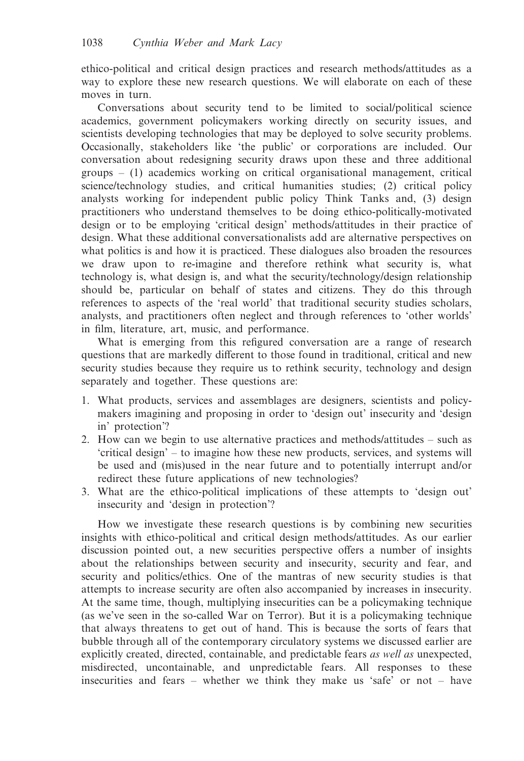ethico-political and critical design practices and research methods/attitudes as a way to explore these new research questions. We will elaborate on each of these moves in turn.

Conversations about security tend to be limited to social/political science academics, government policymakers working directly on security issues, and scientists developing technologies that may be deployed to solve security problems. Occasionally, stakeholders like 'the public' or corporations are included. Our conversation about redesigning security draws upon these and three additional groups  $-$  (1) academics working on critical organisational management, critical science/technology studies, and critical humanities studies; (2) critical policy analysts working for independent public policy Think Tanks and, (3) design practitioners who understand themselves to be doing ethico-politically-motivated design or to be employing 'critical design' methods/attitudes in their practice of design. What these additional conversationalists add are alternative perspectives on what politics is and how it is practiced. These dialogues also broaden the resources we draw upon to re-imagine and therefore rethink what security is, what technology is, what design is, and what the security/technology/design relationship should be, particular on behalf of states and citizens. They do this through references to aspects of the 'real world' that traditional security studies scholars, analysts, and practitioners often neglect and through references to 'other worlds' in film, literature, art, music, and performance.

What is emerging from this refigured conversation are a range of research questions that are markedly different to those found in traditional, critical and new security studies because they require us to rethink security, technology and design separately and together. These questions are:

- 1. What products, services and assemblages are designers, scientists and policymakers imagining and proposing in order to 'design out' insecurity and 'design in' protection'?
- 2. How can we begin to use alternative practices and methods/attitudes such as 'critical design' – to imagine how these new products, services, and systems will be used and (mis)used in the near future and to potentially interrupt and/or redirect these future applications of new technologies?
- 3. What are the ethico-political implications of these attempts to 'design out' insecurity and 'design in protection'?

How we investigate these research questions is by combining new securities insights with ethico-political and critical design methods/attitudes. As our earlier discussion pointed out, a new securities perspective offers a number of insights about the relationships between security and insecurity, security and fear, and security and politics/ethics. One of the mantras of new security studies is that attempts to increase security are often also accompanied by increases in insecurity. At the same time, though, multiplying insecurities can be a policymaking technique (as we've seen in the so-called War on Terror). But it is a policymaking technique that always threatens to get out of hand. This is because the sorts of fears that bubble through all of the contemporary circulatory systems we discussed earlier are explicitly created, directed, containable, and predictable fears *as well as* unexpected, misdirected, uncontainable, and unpredictable fears. All responses to these insecurities and fears – whether we think they make us 'safe' or not – have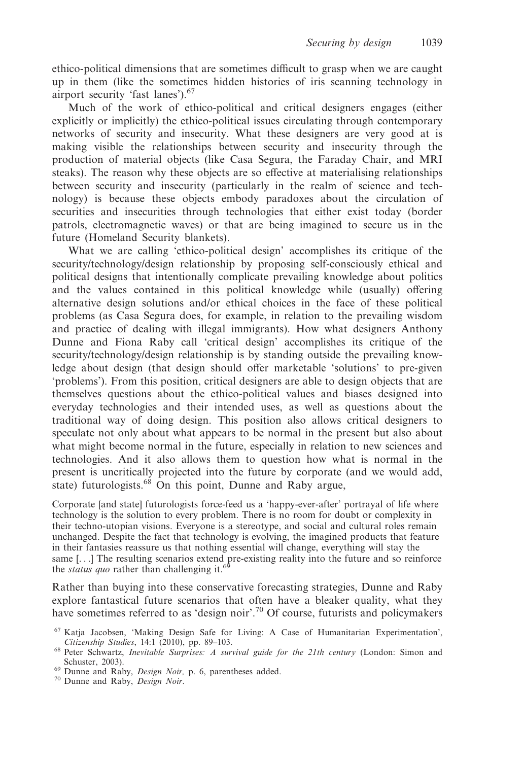ethico-political dimensions that are sometimes difficult to grasp when we are caught up in them (like the sometimes hidden histories of iris scanning technology in airport security 'fast lanes').67

Much of the work of ethico-political and critical designers engages (either explicitly or implicitly) the ethico-political issues circulating through contemporary networks of security and insecurity. What these designers are very good at is making visible the relationships between security and insecurity through the production of material objects (like Casa Segura, the Faraday Chair, and MRI steaks). The reason why these objects are so effective at materialising relationships between security and insecurity (particularly in the realm of science and technology) is because these objects embody paradoxes about the circulation of securities and insecurities through technologies that either exist today (border patrols, electromagnetic waves) or that are being imagined to secure us in the future (Homeland Security blankets).

What we are calling 'ethico-political design' accomplishes its critique of the security/technology/design relationship by proposing self-consciously ethical and political designs that intentionally complicate prevailing knowledge about politics and the values contained in this political knowledge while (usually) offering alternative design solutions and/or ethical choices in the face of these political problems (as Casa Segura does, for example, in relation to the prevailing wisdom and practice of dealing with illegal immigrants). How what designers Anthony Dunne and Fiona Raby call 'critical design' accomplishes its critique of the security/technology/design relationship is by standing outside the prevailing knowledge about design (that design should offer marketable 'solutions' to pre-given 'problems'). From this position, critical designers are able to design objects that are themselves questions about the ethico-political values and biases designed into everyday technologies and their intended uses, as well as questions about the traditional way of doing design. This position also allows critical designers to speculate not only about what appears to be normal in the present but also about what might become normal in the future, especially in relation to new sciences and technologies. And it also allows them to question how what is normal in the present is uncritically projected into the future by corporate (and we would add, state) futurologists.<sup>68</sup> On this point, Dunne and Raby argue,

Corporate [and state] futurologists force-feed us a 'happy-ever-after' portrayal of life where technology is the solution to every problem. There is no room for doubt or complexity in their techno-utopian visions. Everyone is a stereotype, and social and cultural roles remain unchanged. Despite the fact that technology is evolving, the imagined products that feature in their fantasies reassure us that nothing essential will change, everything will stay the same [. . .] The resulting scenarios extend pre-existing reality into the future and so reinforce the *status quo* rather than challenging it.<sup>69</sup>

Rather than buying into these conservative forecasting strategies, Dunne and Raby explore fantastical future scenarios that often have a bleaker quality, what they have sometimes referred to as 'design noir'.<sup>70</sup> Of course, futurists and policymakers

<sup>&</sup>lt;sup>67</sup> Katja Jacobsen, 'Making Design Safe for Living: A Case of Humanitarian Experimentation', Citizenship Studies, 14:1 (2010), pp. 89–103.

<sup>&</sup>lt;sup>68</sup> Peter Schwartz, *Inevitable Surprises: A survival guide for the 21th century* (London: Simon and Schuster, 2003).

<sup>&</sup>lt;sup>69</sup> Dunne and Raby, *Design Noir*, p. 6, parentheses added. <sup>70</sup> Dunne and Raby, *Design Noir*.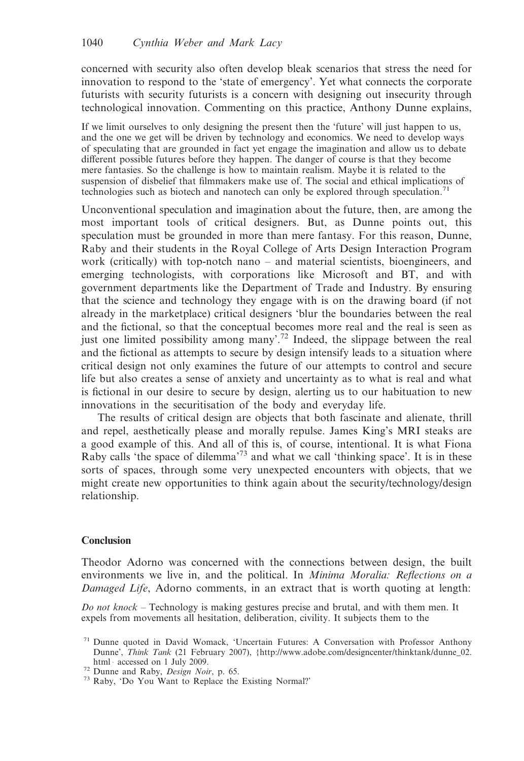concerned with security also often develop bleak scenarios that stress the need for innovation to respond to the 'state of emergency'. Yet what connects the corporate futurists with security futurists is a concern with designing out insecurity through technological innovation. Commenting on this practice, Anthony Dunne explains,

If we limit ourselves to only designing the present then the 'future' will just happen to us, and the one we get will be driven by technology and economics. We need to develop ways of speculating that are grounded in fact yet engage the imagination and allow us to debate different possible futures before they happen. The danger of course is that they become mere fantasies. So the challenge is how to maintain realism. Maybe it is related to the suspension of disbelief that filmmakers make use of. The social and ethical implications of technologies such as biotech and nanotech can only be explored through speculation.71

Unconventional speculation and imagination about the future, then, are among the most important tools of critical designers. But, as Dunne points out, this speculation must be grounded in more than mere fantasy. For this reason, Dunne, Raby and their students in the Royal College of Arts Design Interaction Program work (critically) with top-notch nano – and material scientists, bioengineers, and emerging technologists, with corporations like Microsoft and BT, and with government departments like the Department of Trade and Industry. By ensuring that the science and technology they engage with is on the drawing board (if not already in the marketplace) critical designers 'blur the boundaries between the real and the fictional, so that the conceptual becomes more real and the real is seen as just one limited possibility among many'.72 Indeed, the slippage between the real and the fictional as attempts to secure by design intensify leads to a situation where critical design not only examines the future of our attempts to control and secure life but also creates a sense of anxiety and uncertainty as to what is real and what is fictional in our desire to secure by design, alerting us to our habituation to new innovations in the securitisation of the body and everyday life.

The results of critical design are objects that both fascinate and alienate, thrill and repel, aesthetically please and morally repulse. James King's MRI steaks are a good example of this. And all of this is, of course, intentional. It is what Fiona Raby calls 'the space of dilemma'<sup>73</sup> and what we call 'thinking space'. It is in these sorts of spaces, through some very unexpected encounters with objects, that we might create new opportunities to think again about the security/technology/design relationship.

#### **Conclusion**

Theodor Adorno was concerned with the connections between design, the built environments we live in, and the political. In *Minima Moralia: Reflections on a Damaged Life*, Adorno comments, in an extract that is worth quoting at length:

*Do not knock* – Technology is making gestures precise and brutal, and with them men. It expels from movements all hesitation, deliberation, civility. It subjects them to the

<sup>71</sup> Dunne quoted in David Womack, 'Uncertain Futures: A Conversation with Professor Anthony Dunne', *Think Tank* (21 February 2007), [{http://www.adobe.com/designcenter/thinktank/dunne\\_02.](http://www.adobe.com/designcenter/thinktank/dunne_02.html)<br>html} accessed on 1 July 2009.

<sup>&</sup>lt;sup>72</sup> Dunne and Raby, *Design Noir*, p. 65. <sup>73</sup> Raby, 'Do You Want to Replace the Existing Normal?'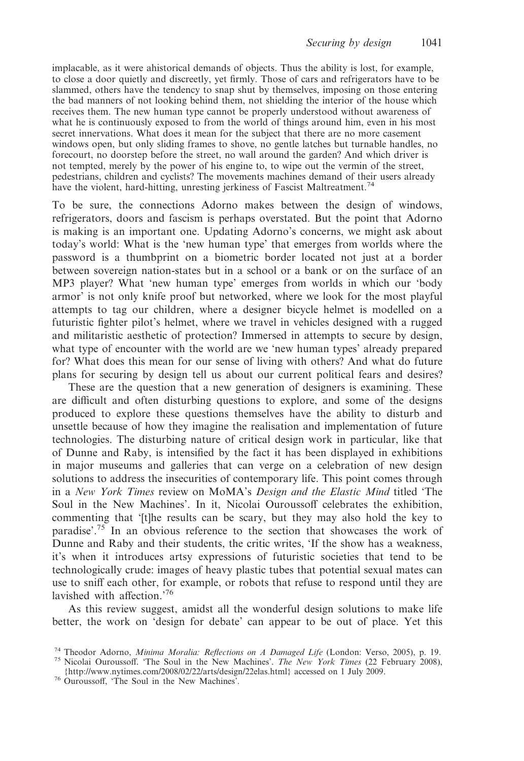implacable, as it were ahistorical demands of objects. Thus the ability is lost, for example, to close a door quietly and discreetly, yet firmly. Those of cars and refrigerators have to be slammed, others have the tendency to snap shut by themselves, imposing on those entering the bad manners of not looking behind them, not shielding the interior of the house which receives them. The new human type cannot be properly understood without awareness of what he is continuously exposed to from the world of things around him, even in his most secret innervations. What does it mean for the subject that there are no more casement windows open, but only sliding frames to shove, no gentle latches but turnable handles, no forecourt, no doorstep before the street, no wall around the garden? And which driver is not tempted, merely by the power of his engine to, to wipe out the vermin of the street, pedestrians, children and cyclists? The movements machines demand of their users already have the violent, hard-hitting, unresting jerkiness of Fascist Maltreatment.<sup>74</sup>

To be sure, the connections Adorno makes between the design of windows, refrigerators, doors and fascism is perhaps overstated. But the point that Adorno is making is an important one. Updating Adorno's concerns, we might ask about today's world: What is the 'new human type' that emerges from worlds where the password is a thumbprint on a biometric border located not just at a border between sovereign nation-states but in a school or a bank or on the surface of an MP3 player? What 'new human type' emerges from worlds in which our 'body armor' is not only knife proof but networked, where we look for the most playful attempts to tag our children, where a designer bicycle helmet is modelled on a futuristic fighter pilot's helmet, where we travel in vehicles designed with a rugged and militaristic aesthetic of protection? Immersed in attempts to secure by design, what type of encounter with the world are we 'new human types' already prepared for? What does this mean for our sense of living with others? And what do future plans for securing by design tell us about our current political fears and desires?

These are the question that a new generation of designers is examining. These are difficult and often disturbing questions to explore, and some of the designs produced to explore these questions themselves have the ability to disturb and unsettle because of how they imagine the realisation and implementation of future technologies. The disturbing nature of critical design work in particular, like that of Dunne and Raby, is intensified by the fact it has been displayed in exhibitions in major museums and galleries that can verge on a celebration of new design solutions to address the insecurities of contemporary life. This point comes through in a *New York Times* review on MoMA's *Design and the Elastic Mind* titled 'The Soul in the New Machines'. In it, Nicolai Ouroussoff celebrates the exhibition, commenting that '[t]he results can be scary, but they may also hold the key to paradise'.75 In an obvious reference to the section that showcases the work of Dunne and Raby and their students, the critic writes, 'If the show has a weakness, it's when it introduces artsy expressions of futuristic societies that tend to be technologically crude: images of heavy plastic tubes that potential sexual mates can use to sniff each other, for example, or robots that refuse to respond until they are lavished with affection.<sup>76</sup>

As this review suggest, amidst all the wonderful design solutions to make life better, the work on 'design for debate' can appear to be out of place. Yet this

[{http://www.nytimes.com/2008/02/22/arts/design/22elas.html}](http://www.nytimes.com/2008/02/22/arts/design/22elas.html) accessed on 1 July 2009. <sup>76</sup> Ouroussoff, 'The Soul in the New Machines'.

<sup>74</sup> Theodor Adorno, *Minima Moralia: Reflections on A Damaged Life* (London: Verso, 2005), p. 19. <sup>75</sup> Nicolai Ouroussoff, 'The Soul in the New Machines', *The New York Times* (22 February 2008),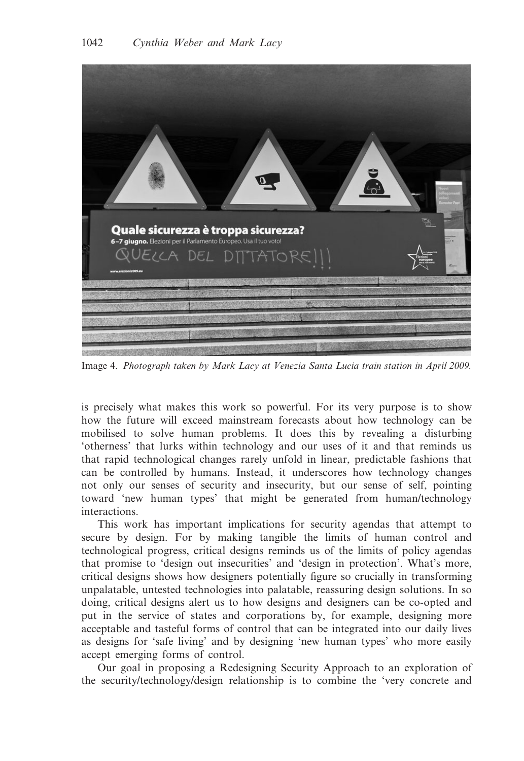

Image 4. *Photograph taken by Mark Lacy at Venezia Santa Lucia train station in April 2009.*

is precisely what makes this work so powerful. For its very purpose is to show how the future will exceed mainstream forecasts about how technology can be mobilised to solve human problems. It does this by revealing a disturbing 'otherness' that lurks within technology and our uses of it and that reminds us that rapid technological changes rarely unfold in linear, predictable fashions that can be controlled by humans. Instead, it underscores how technology changes not only our senses of security and insecurity, but our sense of self, pointing toward 'new human types' that might be generated from human/technology interactions.

This work has important implications for security agendas that attempt to secure by design. For by making tangible the limits of human control and technological progress, critical designs reminds us of the limits of policy agendas that promise to 'design out insecurities' and 'design in protection'. What's more, critical designs shows how designers potentially figure so crucially in transforming unpalatable, untested technologies into palatable, reassuring design solutions. In so doing, critical designs alert us to how designs and designers can be co-opted and put in the service of states and corporations by, for example, designing more acceptable and tasteful forms of control that can be integrated into our daily lives as designs for 'safe living' and by designing 'new human types' who more easily accept emerging forms of control.

Our goal in proposing a Redesigning Security Approach to an exploration of the security/technology/design relationship is to combine the 'very concrete and